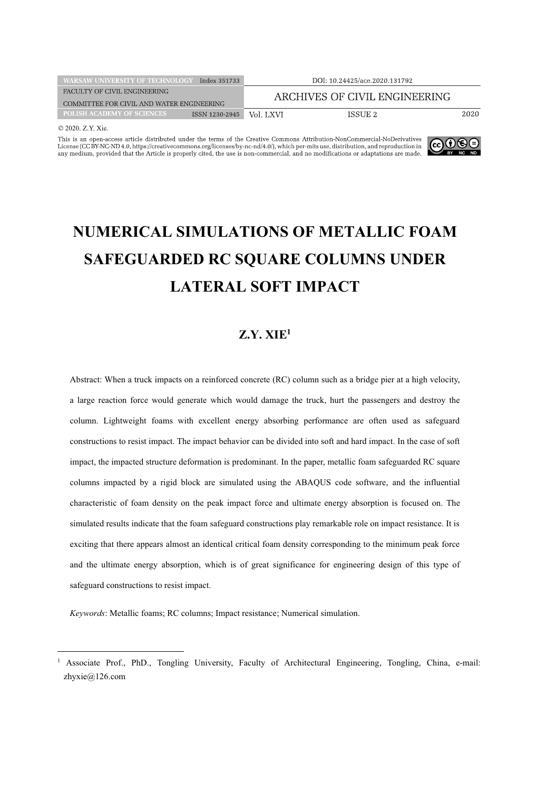| <b>WARSAW UNIVERSITY OF TECHNOLOGY</b>    | Index 351733   |           | DOI: 10.24425/ace.2020.131792 |      |
|-------------------------------------------|----------------|-----------|-------------------------------|------|
| FACULTY OF CIVIL ENGINEERING              |                |           | ARCHIVES OF CIVIL ENGINEERING |      |
| COMMITTEE FOR CIVIL AND WATER ENGINEERING |                |           |                               |      |
| POLISH ACADEMY OF SCIENCES.               | ISSN 1230-2945 | Vol. LXVI | ISSUE 2                       | 2020 |
| $\approx$ 3030 $\approx$ 37 37 $\ldots$   |                |           |                               |      |

© 2020. Z.Y. Xie

This is an open-access article distributed under the terms of the Creative Commons Attribution-NonCommercial-NoDerivatives<br>License (CCBY-NO-A), the official commons.org/licenses/by-nc-nd/4.0), which per-mits use, distribu



# **NUMERICAL SIMULATIONS OF METALLIC FOAM SAFEGUARDED RC SQUARE COLUMNS UNDER LATERAL SOFT IMPACT**

# **Z.Y. XIE1**

Abstract: When a truck impacts on a reinforced concrete (RC) column such as a bridge pier at a high velocity, a large reaction force would generate which would damage the truck, hurt the passengers and destroy the column. Lightweight foams with excellent energy absorbing performance are often used as safeguard constructions to resist impact. The impact behavior can be divided into soft and hard impact. In the case of soft impact, the impacted structure deformation is predominant. In the paper, metallic foam safeguarded RC square columns impacted by a rigid block are simulated using the ABAQUS code software, and the influential characteristic of foam density on the peak impact force and ultimate energy absorption is focused on. The simulated results indicate that the foam safeguard constructions play remarkable role on impact resistance. It is exciting that there appears almost an identical critical foam density corresponding to the minimum peak force and the ultimate energy absorption, which is of great significance for engineering design of this type of safeguard constructions to resist impact.

*Keywords*: Metallic foams; RC columns; Impact resistance; Numerical simulation.

<sup>1</sup> Associate Prof., PhD., Tongling University, Faculty of Architectural Engineering, Tongling, China, e-mail: zhyxie@126.com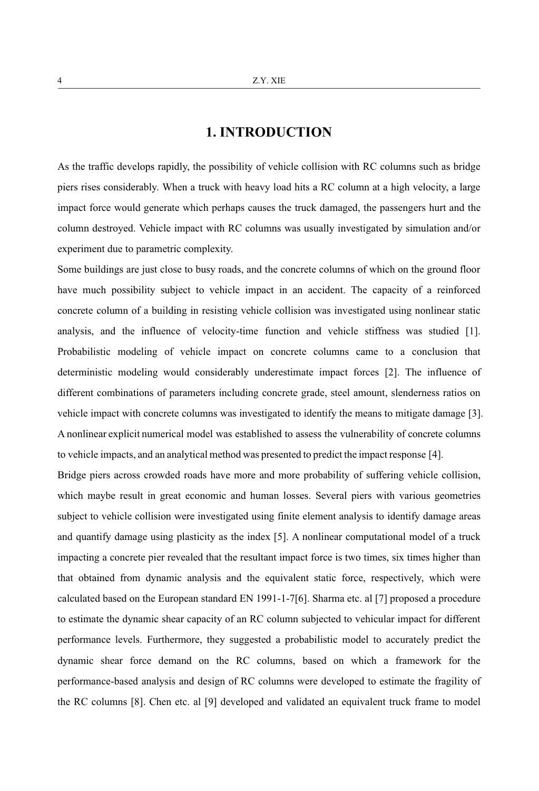# **1. INTRODUCTION**

As the traffic develops rapidly, the possibility of vehicle collision with RC columns such as bridge piers rises considerably. When a truck with heavy load hits a RC column at a high velocity, a large impact force would generate which perhaps causes the truck damaged, the passengers hurt and the column destroyed. Vehicle impact with RC columns was usually investigated by simulation and/or experiment due to parametric complexity.

Some buildings are just close to busy roads, and the concrete columns of which on the ground floor have much possibility subject to vehicle impact in an accident. The capacity of a reinforced concrete column of a building in resisting vehicle collision was investigated using nonlinear static analysis, and the influence of velocity-time function and vehicle stiffness was studied [1]. Probabilistic modeling of vehicle impact on concrete columns came to a conclusion that deterministic modeling would considerably underestimate impact forces [2]. The influence of different combinations of parameters including concrete grade, steel amount, slenderness ratios on vehicle impact with concrete columns was investigated to identify the means to mitigate damage [3]. A nonlinear explicit numerical model was established to assess the vulnerability of concrete columns to vehicle impacts, and an analytical method was presented to predict the impact response [4].

Bridge piers across crowded roads have more and more probability of suffering vehicle collision, which maybe result in great economic and human losses. Several piers with various geometries subject to vehicle collision were investigated using finite element analysis to identify damage areas and quantify damage using plasticity as the index [5]. A nonlinear computational model of a truck impacting a concrete pier revealed that the resultant impact force is two times, six times higher than that obtained from dynamic analysis and the equivalent static force, respectively, which were calculated based on the European standard EN 1991-1-7[6]. Sharma etc. al [7] proposed a procedure to estimate the dynamic shear capacity of an RC column subjected to vehicular impact for different performance levels. Furthermore, they suggested a probabilistic model to accurately predict the dynamic shear force demand on the RC columns, based on which a framework for the performance-based analysis and design of RC columns were developed to estimate the fragility of the RC columns [8]. Chen etc. al [9] developed and validated an equivalent truck frame to model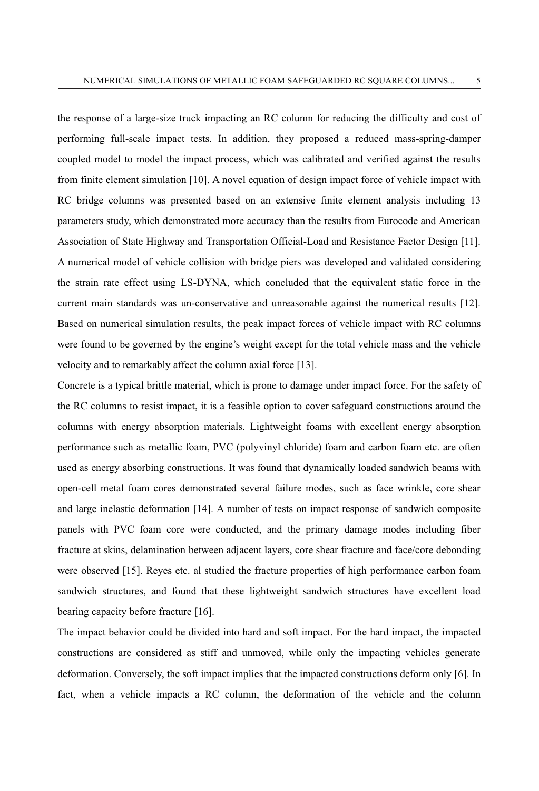the response of a large-size truck impacting an RC column for reducing the difficulty and cost of performing full-scale impact tests. In addition, they proposed a reduced mass-spring-damper coupled model to model the impact process, which was calibrated and verified against the results from finite element simulation [10]. A novel equation of design impact force of vehicle impact with RC bridge columns was presented based on an extensive finite element analysis including 13 parameters study, which demonstrated more accuracy than the results from Eurocode and American Association of State Highway and Transportation Official-Load and Resistance Factor Design [11]. A numerical model of vehicle collision with bridge piers was developed and validated considering the strain rate effect using LS-DYNA, which concluded that the equivalent static force in the current main standards was un-conservative and unreasonable against the numerical results [12]. Based on numerical simulation results, the peak impact forces of vehicle impact with RC columns were found to be governed by the engine's weight except for the total vehicle mass and the vehicle velocity and to remarkably affect the column axial force [13].

Concrete is a typical brittle material, which is prone to damage under impact force. For the safety of the RC columns to resist impact, it is a feasible option to cover safeguard constructions around the columns with energy absorption materials. Lightweight foams with excellent energy absorption performance such as metallic foam, PVC (polyvinyl chloride) foam and carbon foam etc. are often used as energy absorbing constructions. It was found that dynamically loaded sandwich beams with open-cell metal foam cores demonstrated several failure modes, such as face wrinkle, core shear and large inelastic deformation [14]. A number of tests on impact response of sandwich composite panels with PVC foam core were conducted, and the primary damage modes including fiber fracture at skins, delamination between adjacent layers, core shear fracture and face/core debonding were observed [15]. Reyes etc. al studied the fracture properties of high performance carbon foam sandwich structures, and found that these lightweight sandwich structures have excellent load bearing capacity before fracture [16].

The impact behavior could be divided into hard and soft impact. For the hard impact, the impacted constructions are considered as stiff and unmoved, while only the impacting vehicles generate deformation. Conversely, the soft impact implies that the impacted constructions deform only [6]. In fact, when a vehicle impacts a RC column, the deformation of the vehicle and the column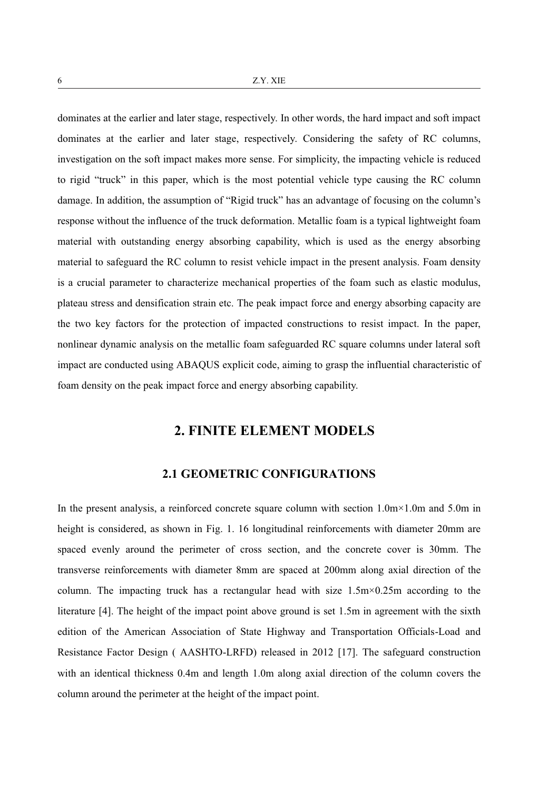dominates at the earlier and later stage, respectively. In other words, the hard impact and soft impact dominates at the earlier and later stage, respectively. Considering the safety of RC columns, investigation on the soft impact makes more sense. For simplicity, the impacting vehicle is reduced to rigid "truck" in this paper, which is the most potential vehicle type causing the RC column damage. In addition, the assumption of "Rigid truck" has an advantage of focusing on the column's response without the influence of the truck deformation. Metallic foam is a typical lightweight foam material with outstanding energy absorbing capability, which is used as the energy absorbing material to safeguard the RC column to resist vehicle impact in the present analysis. Foam density is a crucial parameter to characterize mechanical properties of the foam such as elastic modulus, plateau stress and densification strain etc. The peak impact force and energy absorbing capacity are the two key factors for the protection of impacted constructions to resist impact. In the paper, nonlinear dynamic analysis on the metallic foam safeguarded RC square columns under lateral soft impact are conducted using ABAQUS explicit code, aiming to grasp the influential characteristic of foam density on the peak impact force and energy absorbing capability.

### **2. FINITE ELEMENT MODELS**

#### **2.1 GEOMETRIC CONFIGURATIONS**

In the present analysis, a reinforced concrete square column with section 1.0m×1.0m and 5.0m in height is considered, as shown in Fig. 1. 16 longitudinal reinforcements with diameter 20mm are spaced evenly around the perimeter of cross section, and the concrete cover is 30mm. The transverse reinforcements with diameter 8mm are spaced at 200mm along axial direction of the column. The impacting truck has a rectangular head with size  $1.5 \text{m} \times 0.25 \text{m}$  according to the literature [4]. The height of the impact point above ground is set 1.5m in agreement with the sixth edition of the American Association of State Highway and Transportation Officials-Load and Resistance Factor Design ( AASHTO-LRFD) released in 2012 [17]. The safeguard construction with an identical thickness 0.4m and length 1.0m along axial direction of the column covers the column around the perimeter at the height of the impact point.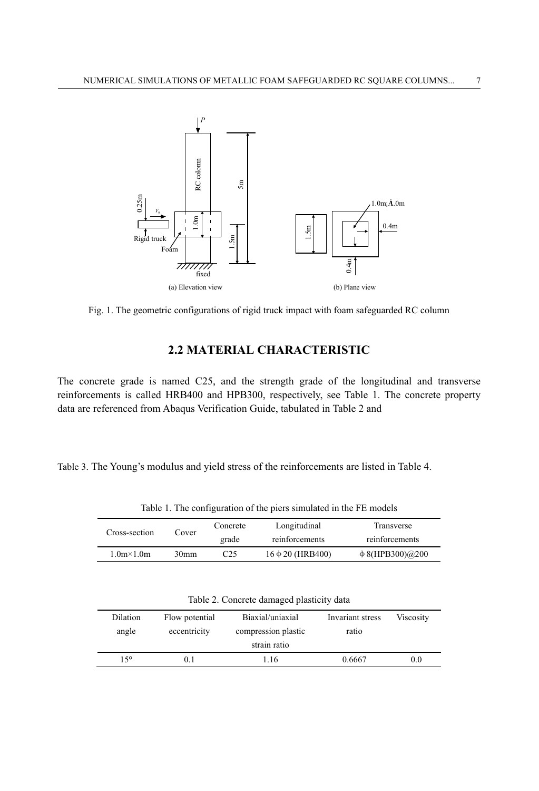

Fig. 1. The geometric configurations of rigid truck impact with foam safeguarded RC column

# **2.2 MATERIAL CHARACTERISTIC**

The concrete grade is named C25, and the strength grade of the longitudinal and transverse reinforcements is called HRB400 and HPB300, respectively, see Table 1. The concrete property data are referenced from Abaqus Verification Guide, tabulated in Table 2 and

Table 3. The Young's modulus and yield stress of the reinforcements are listed in Table 4.

| Cross-section | Cover | Concrete | Longitudinal            | Transverse                    |
|---------------|-------|----------|-------------------------|-------------------------------|
|               |       | grade    | reinforcements          | reinforcements                |
| 1.0m×1.0m     | 30mm  | C25      | $16 \oplus 20$ (HRB400) | $\Phi$ 8(HPB300) $\omega$ 200 |

Table 1. The configuration of the piers simulated in the FE models

|  |  |  |  | Table 2. Concrete damaged plasticity data |  |
|--|--|--|--|-------------------------------------------|--|
|--|--|--|--|-------------------------------------------|--|

| Dilation<br>angle | Flow potential<br>eccentricity | Biaxial/uniaxial<br>compression plastic<br>strain ratio | Invariant stress<br>ratio | Viscosity |
|-------------------|--------------------------------|---------------------------------------------------------|---------------------------|-----------|
|                   |                                |                                                         |                           |           |
| 150               | 01                             | 1.16                                                    | 0.6667                    | 0.0       |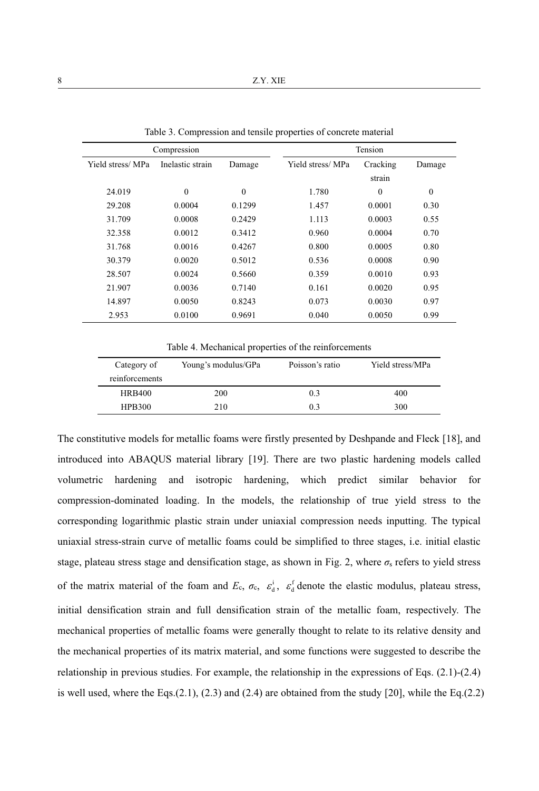|                  | Compression      |              |                  | Tension  |              |
|------------------|------------------|--------------|------------------|----------|--------------|
| Yield stress/MPa | Inelastic strain | Damage       | Yield stress/MPa | Cracking | Damage       |
|                  |                  |              |                  | strain   |              |
| 24.019           | $\mathbf{0}$     | $\mathbf{0}$ | 1.780            | $\Omega$ | $\mathbf{0}$ |
| 29.208           | 0.0004           | 0.1299       | 1.457            | 0.0001   | 0.30         |
| 31.709           | 0.0008           | 0.2429       | 1.113            | 0.0003   | 0.55         |
| 32.358           | 0.0012           | 0.3412       | 0.960            | 0.0004   | 0.70         |
| 31.768           | 0.0016           | 0.4267       | 0.800            | 0.0005   | 0.80         |
| 30.379           | 0.0020           | 0.5012       | 0.536            | 0.0008   | 0.90         |
| 28.507           | 0.0024           | 0.5660       | 0.359            | 0.0010   | 0.93         |
| 21.907           | 0.0036           | 0.7140       | 0.161            | 0.0020   | 0.95         |
| 14.897           | 0.0050           | 0.8243       | 0.073            | 0.0030   | 0.97         |
| 2.953            | 0.0100           | 0.9691       | 0.040            | 0.0050   | 0.99         |

Table 3. Compression and tensile properties of concrete material

Table 4. Mechanical properties of the reinforcements

| Category of<br>reinforcements | Young's modulus/GPa | Poisson's ratio | Yield stress/MPa |
|-------------------------------|---------------------|-----------------|------------------|
| HRB400                        | 200                 | 0.3             | 400              |
| <b>HPB300</b>                 | 210                 | 03              | 300              |

The constitutive models for metallic foams were firstly presented by Deshpande and Fleck [18], and introduced into ABAQUS material library [19]. There are two plastic hardening models called volumetric hardening and isotropic hardening, which predict similar behavior for compression-dominated loading. In the models, the relationship of true yield stress to the corresponding logarithmic plastic strain under uniaxial compression needs inputting. The typical uniaxial stress-strain curve of metallic foams could be simplified to three stages, i.e. initial elastic stage, plateau stress stage and densification stage, as shown in Fig. 2, where  $\sigma_s$  refers to yield stress of the matrix material of the foam and  $E_c$ ,  $\sigma_c$ ,  $\varepsilon_d^i$ ,  $\varepsilon_d^f$  denote the elastic modulus, plateau stress, initial densification strain and full densification strain of the metallic foam, respectively. The mechanical properties of metallic foams were generally thought to relate to its relative density and the mechanical properties of its matrix material, and some functions were suggested to describe the relationship in previous studies. For example, the relationship in the expressions of Eqs. (2.1)-(2.4) is well used, where the Eqs. $(2.1)$ ,  $(2.3)$  and  $(2.4)$  are obtained from the study [20], while the Eq. $(2.2)$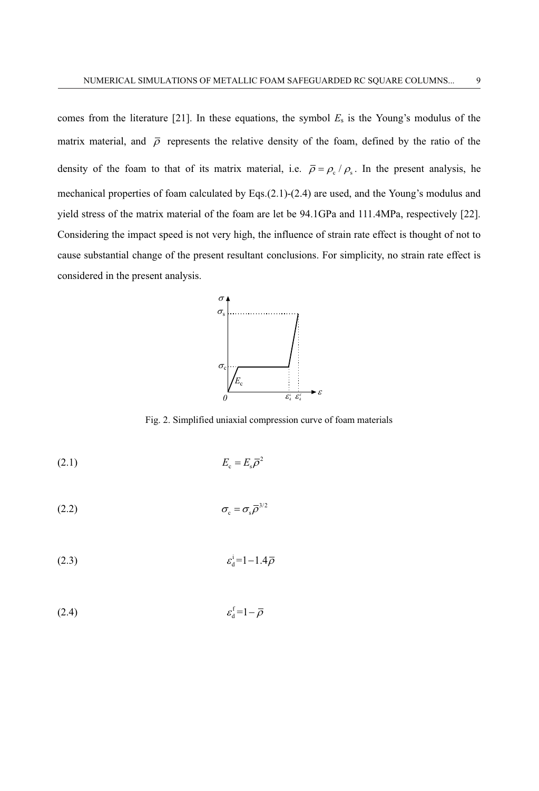comes from the literature  $[21]$ . In these equations, the symbol  $E_s$  is the Young's modulus of the matrix material, and  $\bar{\rho}$  represents the relative density of the foam, defined by the ratio of the density of the foam to that of its matrix material, i.e.  $\bar{\rho} = \rho_c / \rho_s$ . In the present analysis, he mechanical properties of foam calculated by Eqs.(2.1)-(2.4) are used, and the Young's modulus and yield stress of the matrix material of the foam are let be 94.1GPa and 111.4MPa, respectively [22]. Considering the impact speed is not very high, the influence of strain rate effect is thought of not to cause substantial change of the present resultant conclusions. For simplicity, no strain rate effect is considered in the present analysis.



Fig. 2. Simplified uniaxial compression curve of foam materials

(2.1)  $E_c = E_s \bar{\rho}^2$ 

$$
\sigma_{\rm c} = \sigma_{\rm s} \bar{\rho}^{3/2}
$$

$$
(2.3) \t\t\t\t\t\varepsilon_{\rm d}^{\rm i} = 1 - 1.4 \bar{\rho}
$$

$$
\varepsilon_{\rm d}^{\rm f} = 1 - \overline{\rho}
$$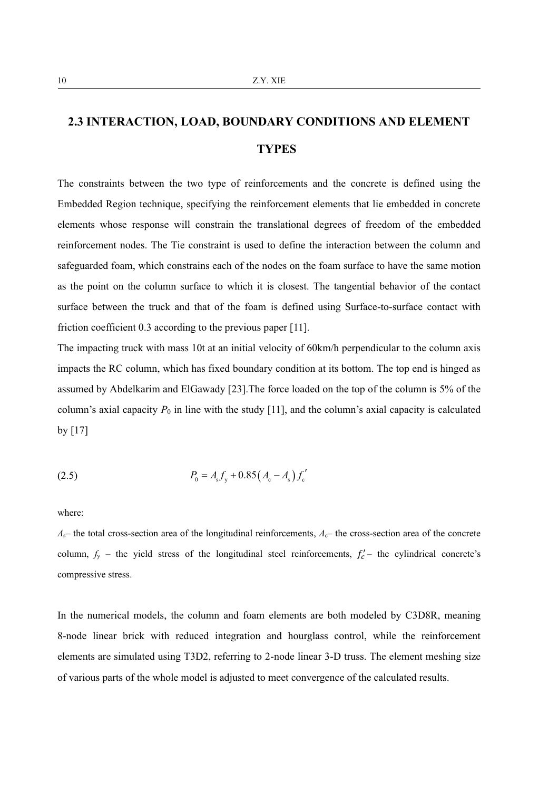# **2.3 INTERACTION, LOAD, BOUNDARY CONDITIONS AND ELEMENT TYPES**

The constraints between the two type of reinforcements and the concrete is defined using the Embedded Region technique, specifying the reinforcement elements that lie embedded in concrete elements whose response will constrain the translational degrees of freedom of the embedded reinforcement nodes. The Tie constraint is used to define the interaction between the column and safeguarded foam, which constrains each of the nodes on the foam surface to have the same motion as the point on the column surface to which it is closest. The tangential behavior of the contact surface between the truck and that of the foam is defined using Surface-to-surface contact with friction coefficient 0.3 according to the previous paper [11].

The impacting truck with mass 10t at an initial velocity of 60km/h perpendicular to the column axis impacts the RC column, which has fixed boundary condition at its bottom. The top end is hinged as assumed by Abdelkarim and ElGawady [23].The force loaded on the top of the column is 5% of the column's axial capacity  $P_0$  in line with the study [11], and the column's axial capacity is calculated by [17]

(2.5) 
$$
P_0 = A_s f_y + 0.85 (A_c - A_s) f'_c
$$

where:

 $A_s$ – the total cross-section area of the longitudinal reinforcements,  $A_c$ – the cross-section area of the concrete column,  $f_y$  – the yield stress of the longitudinal steel reinforcements,  $f'_c$  – the cylindrical concrete's compressive stress.

In the numerical models, the column and foam elements are both modeled by C3D8R, meaning 8-node linear brick with reduced integration and hourglass control, while the reinforcement elements are simulated using T3D2, referring to 2-node linear 3-D truss. The element meshing size of various parts of the whole model is adjusted to meet convergence of the calculated results.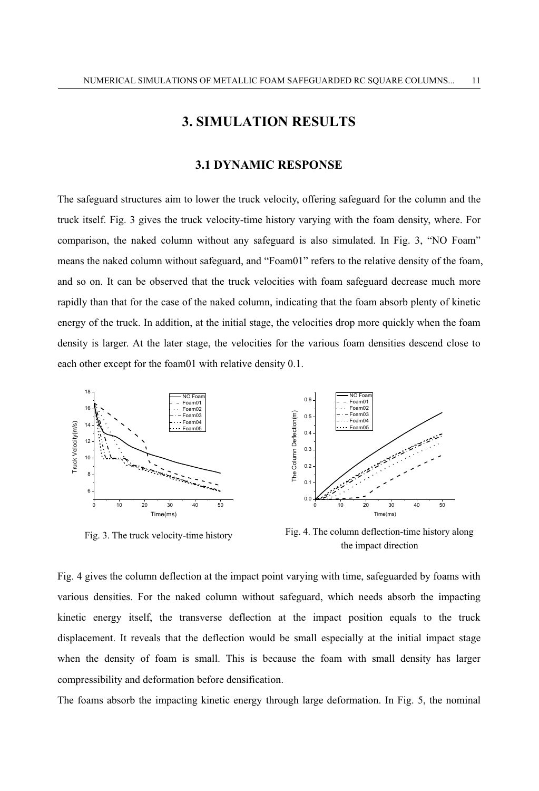# **3. SIMULATION RESULTS**

#### **3.1 DYNAMIC RESPONSE**

The safeguard structures aim to lower the truck velocity, offering safeguard for the column and the truck itself. Fig. 3 gives the truck velocity-time history varying with the foam density, where. For comparison, the naked column without any safeguard is also simulated. In Fig. 3, "NO Foam" means the naked column without safeguard, and "Foam01" refers to the relative density of the foam, and so on. It can be observed that the truck velocities with foam safeguard decrease much more rapidly than that for the case of the naked column, indicating that the foam absorb plenty of kinetic energy of the truck. In addition, at the initial stage, the velocities drop more quickly when the foam density is larger. At the later stage, the velocities for the various foam densities descend close to each other except for the foam01 with relative density 0.1.



Fig. 3. The truck velocity-time history



Fig. 4. The column deflection-time history along the impact direction

Fig. 4 gives the column deflection at the impact point varying with time, safeguarded by foams with various densities. For the naked column without safeguard, which needs absorb the impacting kinetic energy itself, the transverse deflection at the impact position equals to the truck displacement. It reveals that the deflection would be small especially at the initial impact stage when the density of foam is small. This is because the foam with small density has larger compressibility and deformation before densification.

The foams absorb the impacting kinetic energy through large deformation. In Fig. 5, the nominal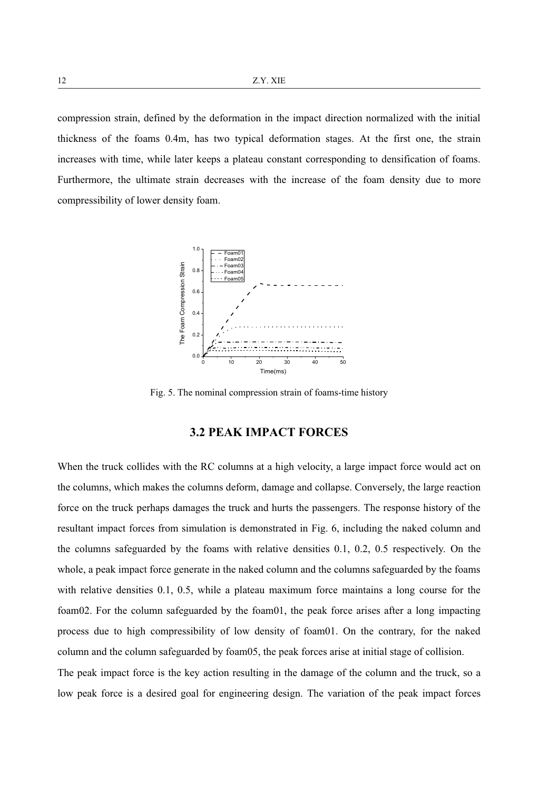compression strain, defined by the deformation in the impact direction normalized with the initial thickness of the foams 0.4m, has two typical deformation stages. At the first one, the strain increases with time, while later keeps a plateau constant corresponding to densification of foams. Furthermore, the ultimate strain decreases with the increase of the foam density due to more compressibility of lower density foam.



Fig. 5. The nominal compression strain of foams-time history

#### **3.2 PEAK IMPACT FORCES**

When the truck collides with the RC columns at a high velocity, a large impact force would act on the columns, which makes the columns deform, damage and collapse. Conversely, the large reaction force on the truck perhaps damages the truck and hurts the passengers. The response history of the resultant impact forces from simulation is demonstrated in Fig. 6, including the naked column and the columns safeguarded by the foams with relative densities 0.1, 0.2, 0.5 respectively. On the whole, a peak impact force generate in the naked column and the columns safeguarded by the foams with relative densities 0.1, 0.5, while a plateau maximum force maintains a long course for the foam02. For the column safeguarded by the foam01, the peak force arises after a long impacting process due to high compressibility of low density of foam01. On the contrary, for the naked column and the column safeguarded by foam05, the peak forces arise at initial stage of collision.

The peak impact force is the key action resulting in the damage of the column and the truck, so a low peak force is a desired goal for engineering design. The variation of the peak impact forces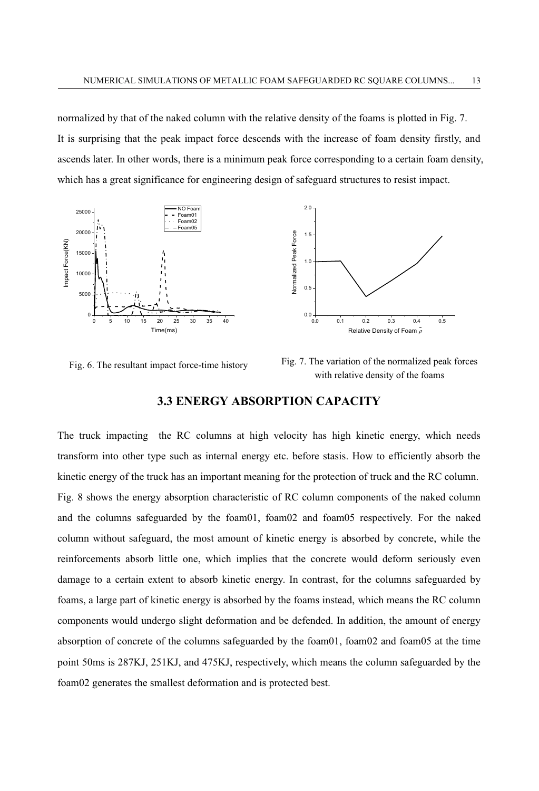normalized by that of the naked column with the relative density of the foams is plotted in Fig. 7. It is surprising that the peak impact force descends with the increase of foam density firstly, and ascends later. In other words, there is a minimum peak force corresponding to a certain foam density, which has a great significance for engineering design of safeguard structures to resist impact.



Fig. 6. The resultant impact force-time history

Fig. 7. The variation of the normalized peak forces with relative density of the foams

## **3.3 ENERGY ABSORPTION CAPACITY**

The truck impacting the RC columns at high velocity has high kinetic energy, which needs transform into other type such as internal energy etc. before stasis. How to efficiently absorb the kinetic energy of the truck has an important meaning for the protection of truck and the RC column. Fig. 8 shows the energy absorption characteristic of RC column components of the naked column and the columns safeguarded by the foam01, foam02 and foam05 respectively. For the naked column without safeguard, the most amount of kinetic energy is absorbed by concrete, while the reinforcements absorb little one, which implies that the concrete would deform seriously even damage to a certain extent to absorb kinetic energy. In contrast, for the columns safeguarded by foams, a large part of kinetic energy is absorbed by the foams instead, which means the RC column components would undergo slight deformation and be defended. In addition, the amount of energy absorption of concrete of the columns safeguarded by the foam01, foam02 and foam05 at the time point 50ms is 287KJ, 251KJ, and 475KJ, respectively, which means the column safeguarded by the foam02 generates the smallest deformation and is protected best.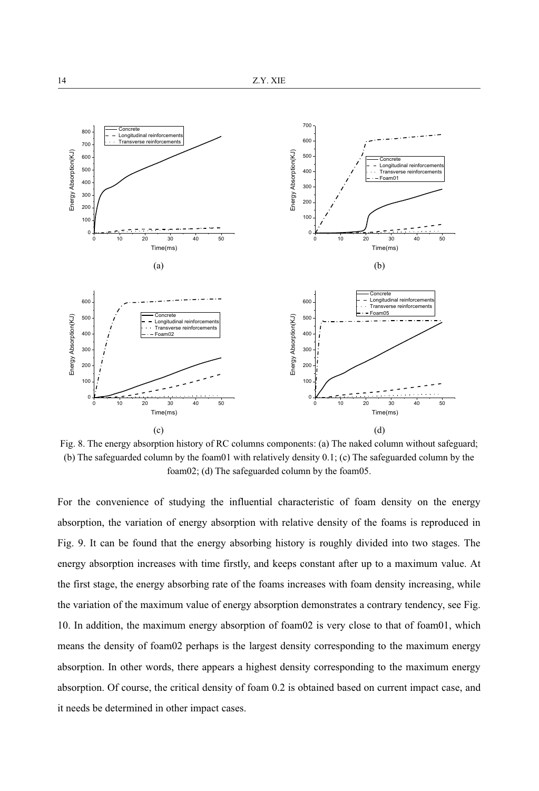

Fig. 8. The energy absorption history of RC columns components: (a) The naked column without safeguard; (b) The safeguarded column by the foam01 with relatively density 0.1; (c) The safeguarded column by the foam02; (d) The safeguarded column by the foam05.

For the convenience of studying the influential characteristic of foam density on the energy absorption, the variation of energy absorption with relative density of the foams is reproduced in Fig. 9. It can be found that the energy absorbing history is roughly divided into two stages. The energy absorption increases with time firstly, and keeps constant after up to a maximum value. At the first stage, the energy absorbing rate of the foams increases with foam density increasing, while the variation of the maximum value of energy absorption demonstrates a contrary tendency, see Fig. 10. In addition, the maximum energy absorption of foam02 is very close to that of foam01, which means the density of foam02 perhaps is the largest density corresponding to the maximum energy absorption. In other words, there appears a highest density corresponding to the maximum energy absorption. Of course, the critical density of foam 0.2 is obtained based on current impact case, and it needs be determined in other impact cases.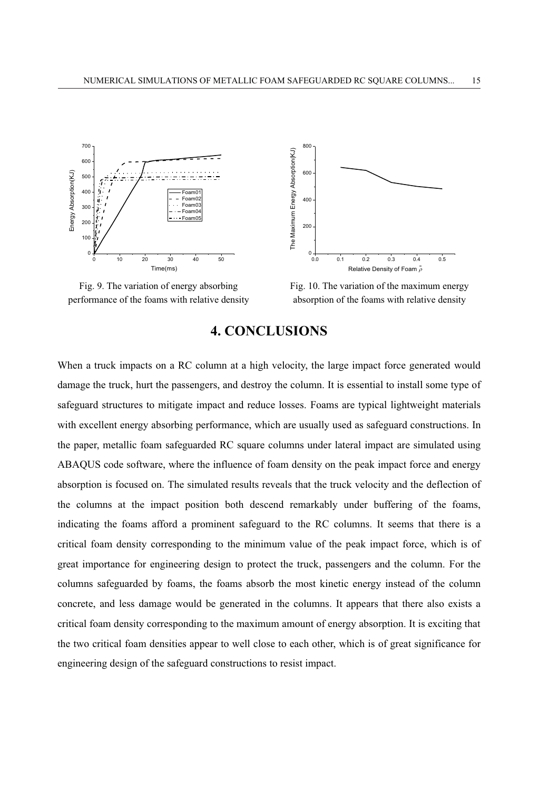

Fig. 9. The variation of energy absorbing performance of the foams with relative density



Fig. 10. The variation of the maximum energy absorption of the foams with relative density

# **4. CONCLUSIONS**

When a truck impacts on a RC column at a high velocity, the large impact force generated would damage the truck, hurt the passengers, and destroy the column. It is essential to install some type of safeguard structures to mitigate impact and reduce losses. Foams are typical lightweight materials with excellent energy absorbing performance, which are usually used as safeguard constructions. In the paper, metallic foam safeguarded RC square columns under lateral impact are simulated using ABAQUS code software, where the influence of foam density on the peak impact force and energy absorption is focused on. The simulated results reveals that the truck velocity and the deflection of the columns at the impact position both descend remarkably under buffering of the foams, indicating the foams afford a prominent safeguard to the RC columns. It seems that there is a critical foam density corresponding to the minimum value of the peak impact force, which is of great importance for engineering design to protect the truck, passengers and the column. For the columns safeguarded by foams, the foams absorb the most kinetic energy instead of the column concrete, and less damage would be generated in the columns. It appears that there also exists a critical foam density corresponding to the maximum amount of energy absorption. It is exciting that the two critical foam densities appear to well close to each other, which is of great significance for engineering design of the safeguard constructions to resist impact.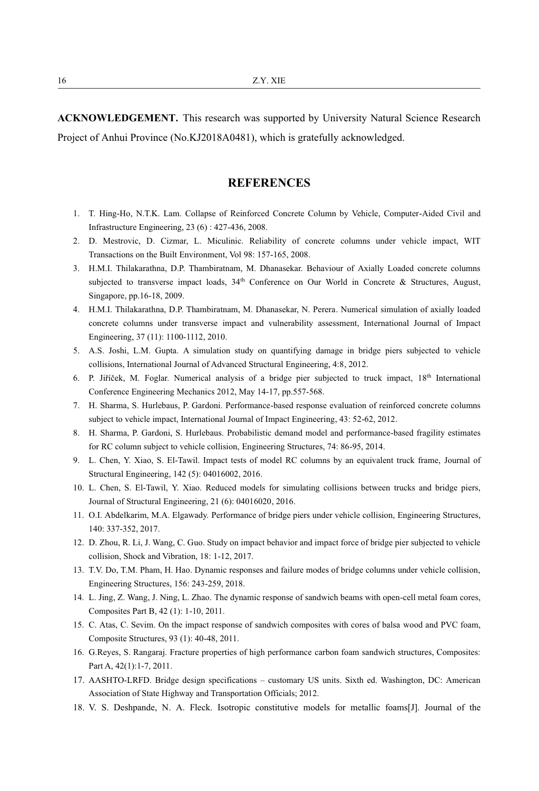**ACKNOWLEDGEMENT.** This research was supported by University Natural Science Research Project of Anhui Province (No.KJ2018A0481), which is gratefully acknowledged.

### **REFERENCES**

- 1. T. Hing-Ho, N.T.K. Lam. Collapse of Reinforced Concrete Column by Vehicle, Computer-Aided Civil and Infrastructure Engineering, 23 (6) : 427-436, 2008.
- 2. D. Mestrovic, D. Cizmar, L. Miculinic. Reliability of concrete columns under vehicle impact, WIT Transactions on the Built Environment, Vol 98: 157-165, 2008.
- 3. H.M.I. Thilakarathna, D.P. Thambiratnam, M. Dhanasekar. Behaviour of Axially Loaded concrete columns subjected to transverse impact loads,  $34<sup>th</sup>$  Conference on Our World in Concrete & Structures, August, Singapore, pp.16-18, 2009.
- 4. H.M.I. Thilakarathna, D.P. Thambiratnam, M. Dhanasekar, N. Perera. Numerical simulation of axially loaded concrete columns under transverse impact and vulnerability assessment, International Journal of Impact Engineering, 37 (11): 1100-1112, 2010.
- 5. A.S. Joshi, L.M. Gupta. A simulation study on quantifying damage in bridge piers subjected to vehicle collisions, International Journal of Advanced Structural Engineering, 4:8, 2012.
- 6. P. Jiříček, M. Foglar. Numerical analysis of a bridge pier subjected to truck impact,  $18<sup>th</sup>$  International Conference Engineering Mechanics 2012, May 14-17, pp.557-568.
- 7. H. Sharma, S. Hurlebaus, P. Gardoni. Performance-based response evaluation of reinforced concrete columns subject to vehicle impact, International Journal of Impact Engineering, 43: 52-62, 2012.
- 8. H. Sharma, P. Gardoni, S. Hurlebaus. Probabilistic demand model and performance-based fragility estimates for RC column subject to vehicle collision, Engineering Structures, 74: 86-95, 2014.
- 9. L. Chen, Y. Xiao, S. El-Tawil. Impact tests of model RC columns by an equivalent truck frame, Journal of Structural Engineering, 142 (5): 04016002, 2016.
- 10. L. Chen, S. El-Tawil, Y. Xiao. Reduced models for simulating collisions between trucks and bridge piers, Journal of Structural Engineering, 21 (6): 04016020, 2016.
- 11. O.I. Abdelkarim, M.A. Elgawady. Performance of bridge piers under vehicle collision, Engineering Structures, 140: 337-352, 2017.
- 12. D. Zhou, R. Li, J. Wang, C. Guo. Study on impact behavior and impact force of bridge pier subjected to vehicle collision, Shock and Vibration, 18: 1-12, 2017.
- 13. T.V. Do, T.M. Pham, H. Hao. Dynamic responses and failure modes of bridge columns under vehicle collision, Engineering Structures, 156: 243-259, 2018.
- 14. L. Jing, Z. Wang, J. Ning, L. Zhao. The dynamic response of sandwich beams with open-cell metal foam cores, Composites Part B, 42 (1): 1-10, 2011.
- 15. C. Atas, C. Sevim. On the impact response of sandwich composites with cores of balsa wood and PVC foam, Composite Structures, 93 (1): 40-48, 2011.
- 16. G.Reyes, S. Rangaraj. Fracture properties of high performance carbon foam sandwich structures, Composites: Part A, 42(1):1-7, 2011.
- 17. AASHTO-LRFD. Bridge design specifications customary US units. Sixth ed. Washington, DC: American Association of State Highway and Transportation Officials; 2012.
- 18. V. S. Deshpande, N. A. Fleck. Isotropic constitutive models for metallic foams[J]. Journal of the